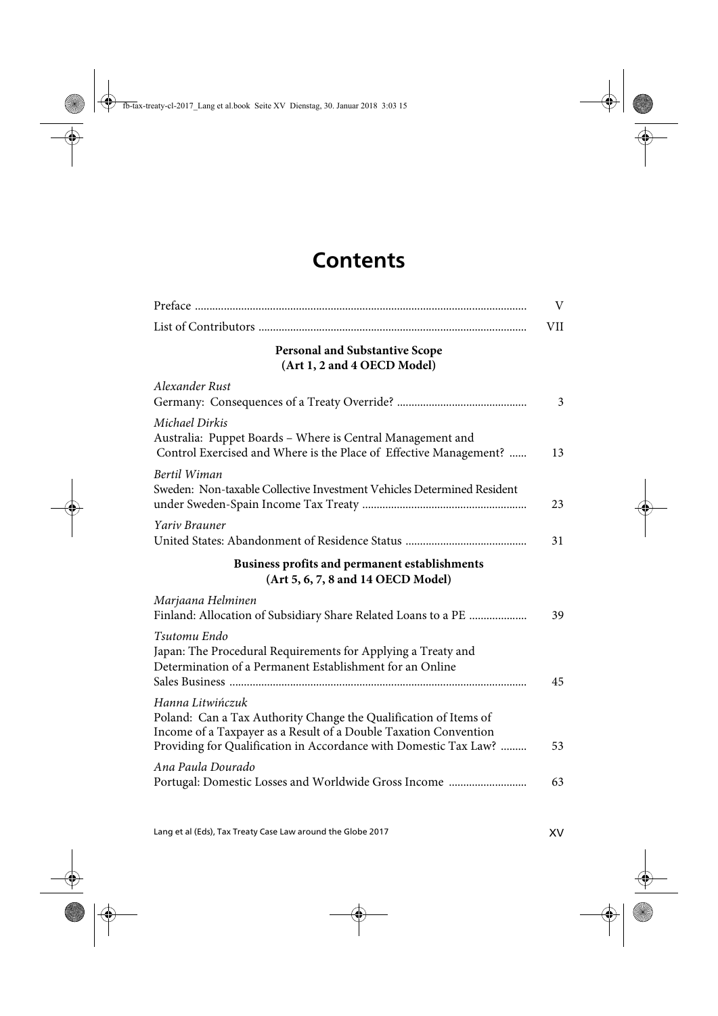## **Contents**

|                                                                                                                                                                                                                              | V   |
|------------------------------------------------------------------------------------------------------------------------------------------------------------------------------------------------------------------------------|-----|
|                                                                                                                                                                                                                              | VII |
| <b>Personal and Substantive Scope</b><br>(Art 1, 2 and 4 OECD Model)                                                                                                                                                         |     |
| Alexander Rust                                                                                                                                                                                                               | 3   |
| Michael Dirkis<br>Australia: Puppet Boards - Where is Central Management and<br>Control Exercised and Where is the Place of Effective Management?                                                                            | 13  |
| Bertil Wiman<br>Sweden: Non-taxable Collective Investment Vehicles Determined Resident                                                                                                                                       | 23  |
| Yariv Brauner                                                                                                                                                                                                                | 31  |
| Business profits and permanent establishments<br>(Art 5, 6, 7, 8 and 14 OECD Model)                                                                                                                                          |     |
| Marjaana Helminen<br>Finland: Allocation of Subsidiary Share Related Loans to a PE                                                                                                                                           | 39  |
| Tsutomu Endo<br>Japan: The Procedural Requirements for Applying a Treaty and<br>Determination of a Permanent Establishment for an Online                                                                                     | 45  |
| Hanna Litwińczuk<br>Poland: Can a Tax Authority Change the Qualification of Items of<br>Income of a Taxpayer as a Result of a Double Taxation Convention<br>Providing for Qualification in Accordance with Domestic Tax Law? | 53  |
| Ana Paula Dourado<br>Portugal: Domestic Losses and Worldwide Gross Income                                                                                                                                                    | 63  |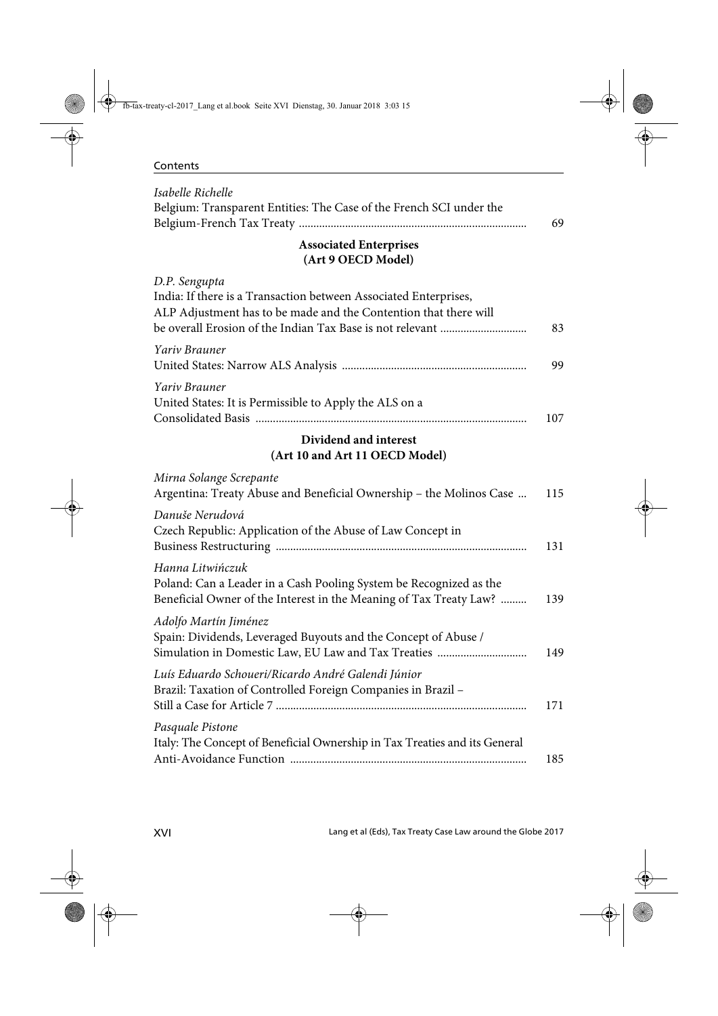| Contents |
|----------|
|----------|

| Isabelle Richelle<br>Belgium: Transparent Entities: The Case of the French SCI under the                                                                                                                           |     |
|--------------------------------------------------------------------------------------------------------------------------------------------------------------------------------------------------------------------|-----|
|                                                                                                                                                                                                                    | 69  |
| <b>Associated Enterprises</b><br>(Art 9 OECD Model)                                                                                                                                                                |     |
| D.P. Sengupta<br>India: If there is a Transaction between Associated Enterprises,<br>ALP Adjustment has to be made and the Contention that there will<br>be overall Erosion of the Indian Tax Base is not relevant | 83  |
| Yariv Brauner                                                                                                                                                                                                      | 99  |
| Yariv Brauner<br>United States: It is Permissible to Apply the ALS on a                                                                                                                                            | 107 |
| Dividend and interest<br>(Art 10 and Art 11 OECD Model)                                                                                                                                                            |     |
| Mirna Solange Screpante<br>Argentina: Treaty Abuse and Beneficial Ownership - the Molinos Case                                                                                                                     | 115 |
| Danuše Nerudová<br>Czech Republic: Application of the Abuse of Law Concept in                                                                                                                                      | 131 |
| Hanna Litwińczuk<br>Poland: Can a Leader in a Cash Pooling System be Recognized as the<br>Beneficial Owner of the Interest in the Meaning of Tax Treaty Law?                                                       | 139 |
| Adolfo Martín Jiménez<br>Spain: Dividends, Leveraged Buyouts and the Concept of Abuse /<br>Simulation in Domestic Law, EU Law and Tax Treaties                                                                     | 149 |
| Luís Eduardo Schoueri/Ricardo André Galendi Júnior<br>Brazil: Taxation of Controlled Foreign Companies in Brazil -                                                                                                 | 171 |
| Pasquale Pistone<br>Italy: The Concept of Beneficial Ownership in Tax Treaties and its General                                                                                                                     | 185 |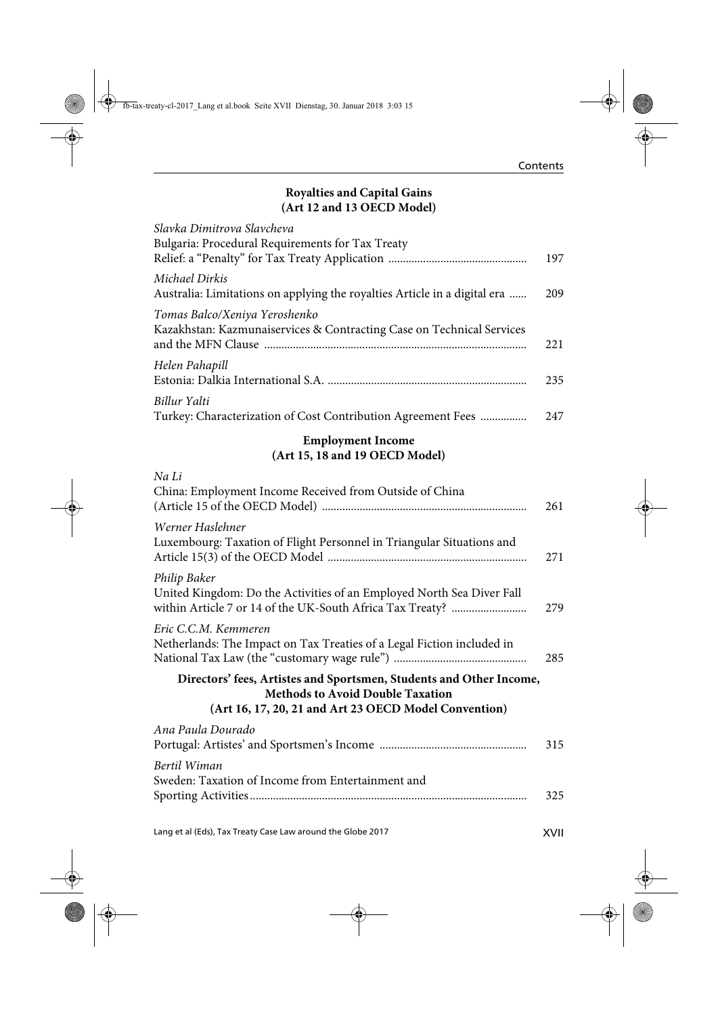## **Royalties and Capital Gains (Art 12 and 13 OECD Model)**

| Slavka Dimitrova Slavcheva                                                                             |     |
|--------------------------------------------------------------------------------------------------------|-----|
| Bulgaria: Procedural Requirements for Tax Treaty                                                       | 197 |
| Michael Dirkis<br>Australia: Limitations on applying the royalties Article in a digital era            | 209 |
| Tomas Balco/Xeniya Yeroshenko<br>Kazakhstan: Kazmunaiservices & Contracting Case on Technical Services | 221 |
| Helen Pahapill                                                                                         | 235 |
| Billur Yalti<br>Turkey: Characterization of Cost Contribution Agreement Fees                           | 247 |

## **Employment Income (Art 15, 18 and 19 OECD Model)**

| Na Li<br>China: Employment Income Received from Outside of China                                                                                                        | 261 |
|-------------------------------------------------------------------------------------------------------------------------------------------------------------------------|-----|
| Werner Haslehner<br>Luxembourg: Taxation of Flight Personnel in Triangular Situations and                                                                               | 271 |
| Philip Baker<br>United Kingdom: Do the Activities of an Employed North Sea Diver Fall                                                                                   | 279 |
| Eric C.C.M. Kemmeren<br>Netherlands: The Impact on Tax Treaties of a Legal Fiction included in                                                                          | 285 |
| Directors' fees, Artistes and Sportsmen, Students and Other Income,<br><b>Methods to Avoid Double Taxation</b><br>(Art 16, 17, 20, 21 and Art 23 OECD Model Convention) |     |
| Ana Paula Dourado                                                                                                                                                       | 315 |
| Bertil Wiman<br>Sweden: Taxation of Income from Entertainment and                                                                                                       | 325 |